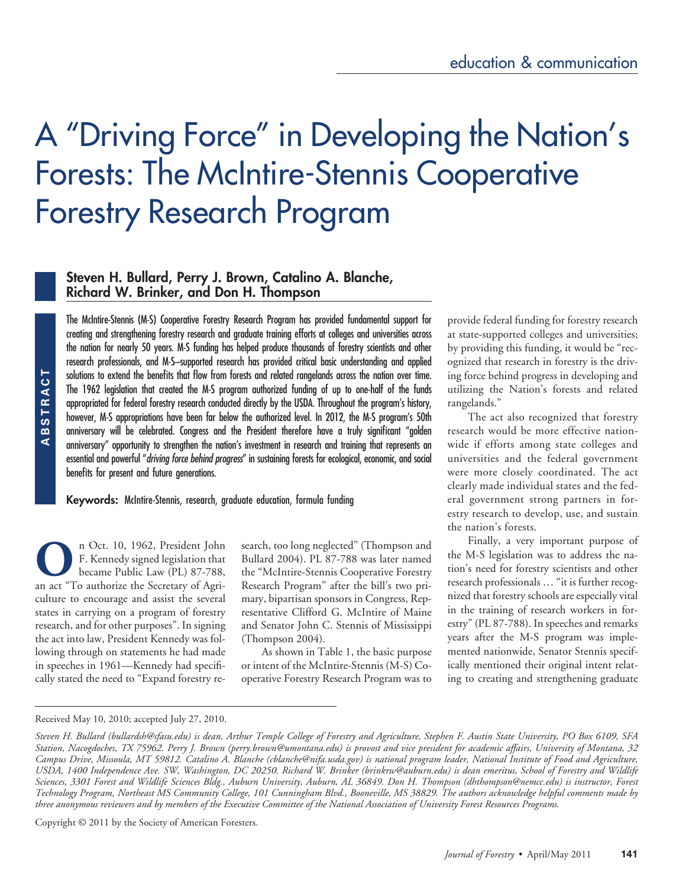# A "Driving Force" in Developing the Nation's Forests: The McIntire-Stennis Cooperative Forestry Research Program

# **Steven H. Bullard, Perry J. Brown, Catalino A. Blanche, Richard W. Brinker, and Don H. Thompson**

ABSTRACT **ABSTRACT** The McIntire-Stennis (M-S) Cooperative Forestry Research Program has provided fundamental support for creating and strengthening forestry research and graduate training efforts at colleges and universities across the nation for nearly 50 years. M-S funding has helped produce thousands of forestry scientists and other research professionals, and M-S–supported research has provided critical basic understanding and applied solutions to extend the benefits that flow from forests and related rangelands across the nation over time. The 1962 legislation that created the M-S program authorized funding of up to one-half of the funds appropriated for federal forestry research conducted directly by the USDA. Throughout the program's history, however, M-S appropriations have been far below the authorized level. In 2012, the M-S program's 50th anniversary will be celebrated. Congress and the President therefore have a truly significant "golden anniversary" opportunity to strengthen the nation's investment in research and training that represents an essential and powerful "*driving force behind progress*" in sustaining forests for ecological, economic, and social benefits for present and future generations.

**Keywords:** McIntire-Stennis, research, graduate education, formula funding

**OC**n Oct. 10, 1962, President John<br>
F. Kennedy signed legislation that<br>
became Public Law (PL) 87-788,<br>
an act "To authorize the Secretary of Agri-F. Kennedy signed legislation that became Public Law (PL) 87-788, culture to encourage and assist the several states in carrying on a program of forestry research, and for other purposes". In signing the act into law, President Kennedy was following through on statements he had made in speeches in 1961—Kennedy had specifically stated the need to "Expand forestry re-

search, too long neglected" (Thompson and Bullard 2004). PL 87-788 was later named the "McIntire-Stennis Cooperative Forestry Research Program" after the bill's two primary, bipartisan sponsors in Congress, Representative Clifford G. McIntire of Maine and Senator John C. Stennis of Mississippi (Thompson 2004).

As shown in Table 1, the basic purpose or intent of the McIntire-Stennis (M-S) Cooperative Forestry Research Program was to

provide federal funding for forestry research at state-supported colleges and universities; by providing this funding, it would be "recognized that research in forestry is the driving force behind progress in developing and utilizing the Nation's forests and related rangelands."

The act also recognized that forestry research would be more effective nationwide if efforts among state colleges and universities and the federal government were more closely coordinated. The act clearly made individual states and the federal government strong partners in forestry research to develop, use, and sustain the nation's forests.

Finally, a very important purpose of the M-S legislation was to address the nation's need for forestry scientists and other research professionals … "it is further recognized that forestry schools are especially vital in the training of research workers in forestry" (PL 87-788). In speeches and remarks years after the M-S program was implemented nationwide, Senator Stennis specifically mentioned their original intent relating to creating and strengthening graduate

#### Received May 10, 2010; accepted July 27, 2010.

Copyright © 2011 by the Society of American Foresters.

*Steven H. Bullard (bullardsh@sfasu.edu) is dean, Arthur Temple College of Forestry and Agriculture, Stephen F. Austin State University, PO Box 6109, SFA Station, Nacogdoches, TX 75962. Perry J. Brown (perry.brown@umontana.edu) is provost and vice president for academic affairs, University of Montana, 32 Campus Drive, Missoula, MT 59812. Catalino A. Blanche (cblanche@nifa.usda.gov) is national program leader, National Institute of Food and Agriculture, USDA, 1400 Independence Ave. SW, Washington, DC 20250. Richard W. Brinker (brinkrw@auburn.edu) is dean emeritus, School of Forestry and Wildlife Sciences, 3301 Forest and Wildlife Sciences Bldg., Auburn University, Auburn, AL 36849. Don H. Thompson (dhthompson@nemcc.edu) is instructor, Forest Technology Program, Northeast MS Community College, 101 Cunningham Blvd., Booneville, MS 38829. The authors acknowledge helpful comments made by three anonymous reviewers and by members of the Executive Committee of the National Association of University Forest Resources Programs.*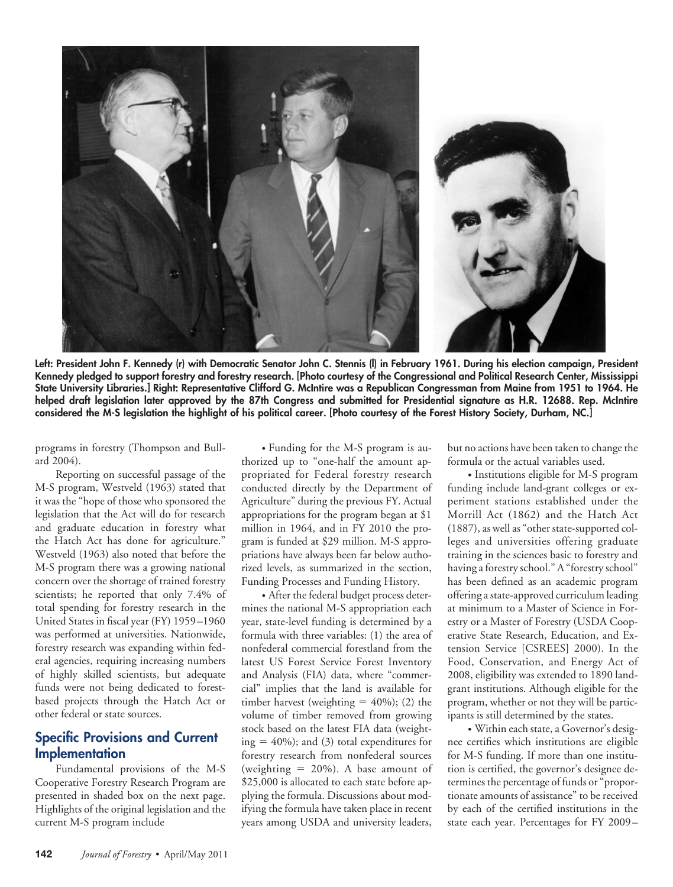

**Left: President John F. Kennedy (r) with Democratic Senator John C. Stennis (l) in February 1961. During his election campaign, President Kennedy pledged to support forestry and forestry research. [Photo courtesy of the Congressional and Political Research Center, Mississippi State University Libraries.] Right: Representative Clifford G. McIntire was a Republican Congressman from Maine from 1951 to 1964. He helped draft legislation later approved by the 87th Congress and submitted for Presidential signature as H.R. 12688. Rep. McIntire considered the M-S legislation the highlight of his political career. [Photo courtesy of the Forest History Society, Durham, NC.]**

programs in forestry (Thompson and Bullard 2004).

Reporting on successful passage of the M-S program, Westveld (1963) stated that it was the "hope of those who sponsored the legislation that the Act will do for research and graduate education in forestry what the Hatch Act has done for agriculture." Westveld (1963) also noted that before the M-S program there was a growing national concern over the shortage of trained forestry scientists; he reported that only 7.4% of total spending for forestry research in the United States in fiscal year (FY) 1959–1960 was performed at universities. Nationwide, forestry research was expanding within federal agencies, requiring increasing numbers of highly skilled scientists, but adequate funds were not being dedicated to forestbased projects through the Hatch Act or other federal or state sources.

# **Specific Provisions and Current Implementation**

Fundamental provisions of the M-S Cooperative Forestry Research Program are presented in shaded box on the next page. Highlights of the original legislation and the current M-S program include

• Funding for the M-S program is authorized up to "one-half the amount appropriated for Federal forestry research conducted directly by the Department of Agriculture" during the previous FY. Actual appropriations for the program began at \$1 million in 1964, and in FY 2010 the program is funded at \$29 million. M-S appropriations have always been far below authorized levels, as summarized in the section, Funding Processes and Funding History.

• After the federal budget process determines the national M-S appropriation each year, state-level funding is determined by a formula with three variables: (1) the area of nonfederal commercial forestland from the latest US Forest Service Forest Inventory and Analysis (FIA) data, where "commercial" implies that the land is available for timber harvest (weighting  $= 40\%$ ); (2) the volume of timber removed from growing stock based on the latest FIA data (weighting  $=$  40%); and (3) total expenditures for forestry research from nonfederal sources (weighting  $= 20\%$ ). A base amount of \$25,000 is allocated to each state before applying the formula. Discussions about modifying the formula have taken place in recent years among USDA and university leaders,

but no actions have been taken to change the formula or the actual variables used.

• Institutions eligible for M-S program funding include land-grant colleges or experiment stations established under the Morrill Act (1862) and the Hatch Act (1887), as well as "other state-supported colleges and universities offering graduate training in the sciences basic to forestry and having a forestry school." A "forestry school" has been defined as an academic program offering a state-approved curriculum leading at minimum to a Master of Science in Forestry or a Master of Forestry (USDA Cooperative State Research, Education, and Extension Service [CSREES] 2000). In the Food, Conservation, and Energy Act of 2008, eligibility was extended to 1890 landgrant institutions. Although eligible for the program, whether or not they will be participants is still determined by the states.

• Within each state, a Governor's designee certifies which institutions are eligible for M-S funding. If more than one institution is certified, the governor's designee determines the percentage of funds or "proportionate amounts of assistance" to be received by each of the certified institutions in the state each year. Percentages for FY 2009–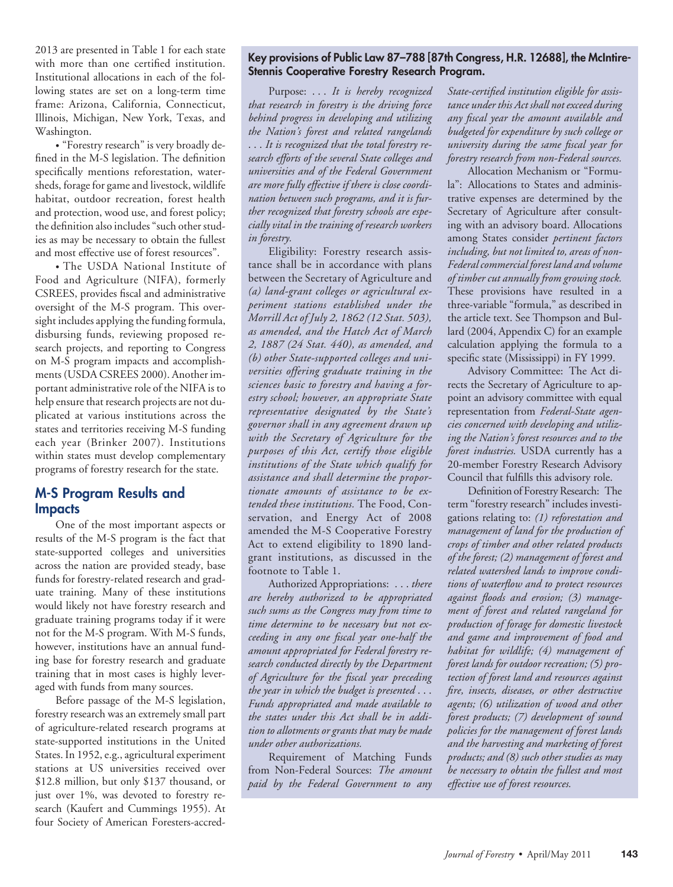2013 are presented in Table 1 for each state with more than one certified institution. Institutional allocations in each of the following states are set on a long-term time frame: Arizona, California, Connecticut, Illinois, Michigan, New York, Texas, and Washington.

• "Forestry research" is very broadly defined in the M-S legislation. The definition specifically mentions reforestation, watersheds, forage for game and livestock, wildlife habitat, outdoor recreation, forest health and protection, wood use, and forest policy; the definition also includes "such other studies as may be necessary to obtain the fullest and most effective use of forest resources".

• The USDA National Institute of Food and Agriculture (NIFA), formerly CSREES, provides fiscal and administrative oversight of the M-S program. This oversight includes applying the funding formula, disbursing funds, reviewing proposed research projects, and reporting to Congress on M-S program impacts and accomplishments (USDA CSREES 2000). Another important administrative role of the NIFA is to help ensure that research projects are not duplicated at various institutions across the states and territories receiving M-S funding each year (Brinker 2007). Institutions within states must develop complementary programs of forestry research for the state.

## **M-S Program Results and Impacts**

One of the most important aspects or results of the M-S program is the fact that state-supported colleges and universities across the nation are provided steady, base funds for forestry-related research and graduate training. Many of these institutions would likely not have forestry research and graduate training programs today if it were not for the M-S program. With M-S funds, however, institutions have an annual funding base for forestry research and graduate training that in most cases is highly leveraged with funds from many sources.

Before passage of the M-S legislation, forestry research was an extremely small part of agriculture-related research programs at state-supported institutions in the United States. In 1952, e.g., agricultural experiment stations at US universities received over \$12.8 million, but only \$137 thousand, or just over 1%, was devoted to forestry research (Kaufert and Cummings 1955). At four Society of American Foresters-accred-

## **Key provisions of Public Law 87–788 [87th Congress, H.R. 12688], the McIntire-Stennis Cooperative Forestry Research Program.**

Purpose: . . . *It is hereby recognized that research in forestry is the driving force behind progress in developing and utilizing the Nation's forest and related rangelands* ... *It is recognized that the total forestry research efforts of the several State colleges and universities and of the Federal Government are more fully effective if there is close coordination between such programs, and it is further recognized that forestry schools are especially vital in the training of research workers in forestry.*

Eligibility: Forestry research assistance shall be in accordance with plans between the Secretary of Agriculture and *(a) land-grant colleges or agricultural experiment stations established under the Morrill Act of July 2, 1862 (12 Stat. 503), as amended, and the Hatch Act of March 2, 1887 (24 Stat. 440), as amended, and (b) other State-supported colleges and universities offering graduate training in the sciences basic to forestry and having a forestry school; however, an appropriate State representative designated by the State's governor shall in any agreement drawn up with the Secretary of Agriculture for the purposes of this Act, certify those eligible institutions of the State which qualify for assistance and shall determine the proportionate amounts of assistance to be extended these institutions.* The Food, Conservation, and Energy Act of 2008 amended the M-S Cooperative Forestry Act to extend eligibility to 1890 landgrant institutions, as discussed in the footnote to Table 1.

Authorized Appropriations: . . . *there are hereby authorized to be appropriated such sums as the Congress may from time to time determine to be necessary but not exceeding in any one fiscal year one-half the amount appropriated for Federal forestry research conducted directly by the Department of Agriculture for the fiscal year preceding the year in which the budget is presented* ... *Funds appropriated and made available to the states under this Act shall be in addition to allotments or grants that may be made under other authorizations.*

Requirement of Matching Funds from Non-Federal Sources: *The amount paid by the Federal Government to any*

*State-certified institution eligible for assistance under this Act shall not exceed during any fiscal year the amount available and budgeted for expenditure by such college or university during the same fiscal year for forestry research from non-Federal sources.*

Allocation Mechanism or "Formula": Allocations to States and administrative expenses are determined by the Secretary of Agriculture after consulting with an advisory board. Allocations among States consider *pertinent factors including, but not limited to, areas of non-Federal commercial forest land and volume of timber cut annually from growing stock.* These provisions have resulted in a three-variable "formula," as described in the article text. See Thompson and Bullard (2004, Appendix C) for an example calculation applying the formula to a specific state (Mississippi) in FY 1999.

Advisory Committee: The Act directs the Secretary of Agriculture to appoint an advisory committee with equal representation from *Federal-State agencies concerned with developing and utilizing the Nation's forest resources and to the forest industries.* USDA currently has a 20-member Forestry Research Advisory Council that fulfills this advisory role.

Definition of Forestry Research: The term "forestry research" includes investigations relating to: *(1) reforestation and management of land for the production of crops of timber and other related products of the forest; (2) management of forest and related watershed lands to improve conditions of waterflow and to protect resources against floods and erosion; (3) management of forest and related rangeland for production of forage for domestic livestock and game and improvement of food and habitat for wildlife; (4) management of forest lands for outdoor recreation; (5) protection of forest land and resources against fire, insects, diseases, or other destructive agents; (6) utilization of wood and other forest products; (7) development of sound policies for the management of forest lands and the harvesting and marketing of forest products; and (8) such other studies as may be necessary to obtain the fullest and most effective use of forest resources.*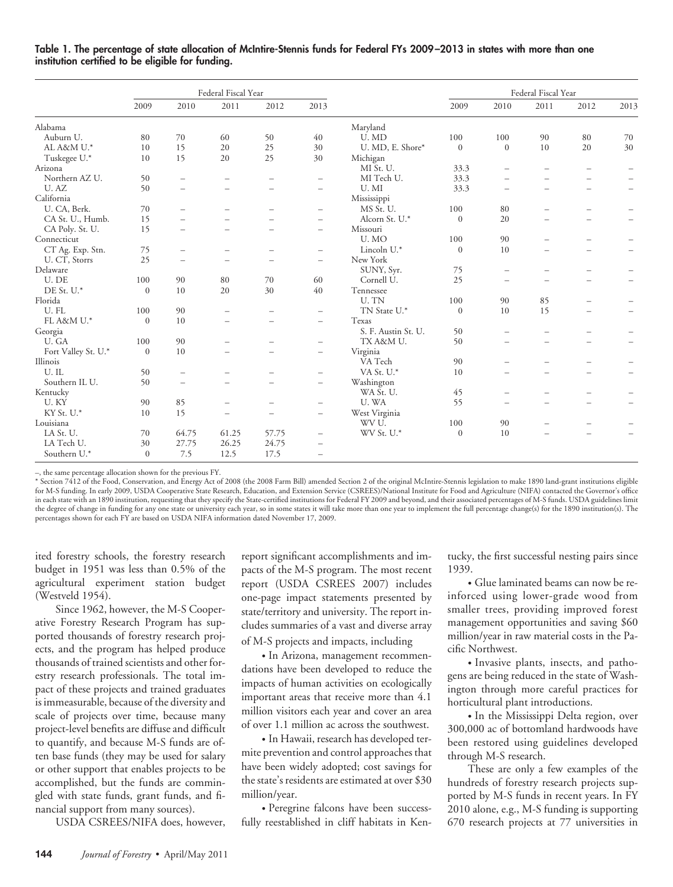|                     | Federal Fiscal Year |                          |                          |                          |                          |                     | Federal Fiscal Year |                          |                          |                          |                          |
|---------------------|---------------------|--------------------------|--------------------------|--------------------------|--------------------------|---------------------|---------------------|--------------------------|--------------------------|--------------------------|--------------------------|
|                     | 2009                | 2010                     | 2011                     | 2012                     | 2013                     |                     | 2009                | 2010                     | 2011                     | 2012                     | 2013                     |
| Alabama             |                     |                          |                          |                          |                          | Maryland            |                     |                          |                          |                          |                          |
| Auburn U.           | 80                  | 70                       | 60                       | 50                       | 40                       | U. MD               | 100                 | 100                      | 90                       | 80                       | 70                       |
| AL A&M U.*          | 10                  | 15                       | 20                       | 25                       | 30                       | U. MD, E. Shore*    | $\mathbf{0}$        | $\boldsymbol{0}$         | 10                       | 20                       | 30                       |
| Tuskegee U.*        | 10 <sup>1</sup>     | 15                       | 20                       | 25                       | 30                       | Michigan            |                     |                          |                          |                          |                          |
| Arizona             |                     |                          |                          |                          |                          | MI St. U.           | 33.3                |                          |                          |                          |                          |
| Northern AZ U.      | 50                  | $\overline{\phantom{m}}$ |                          | $\overline{\phantom{0}}$ | $\overline{\phantom{m}}$ | MI Tech U.          | 33.3                |                          |                          | $\overline{\phantom{0}}$ | $\overline{\phantom{0}}$ |
| U.AZ                | 50                  | $\overline{\phantom{m}}$ | $\overline{\phantom{0}}$ | $\qquad \qquad -$        | -                        | U. MI               | 33.3                | $\qquad \qquad -$        | $\qquad \qquad -$        | $\overline{\phantom{0}}$ | $\overline{\phantom{0}}$ |
| California          |                     |                          |                          |                          |                          | Mississippi         |                     |                          |                          |                          |                          |
| U. CA, Berk.        | 70                  | $\overline{\phantom{m}}$ |                          |                          | $\overline{\phantom{0}}$ | MS St. U.           | 100                 | 80                       |                          | $\overline{\phantom{0}}$ |                          |
| CA St. U., Humb.    | 15                  | $\overline{\phantom{m}}$ |                          | $=$                      | $\overline{\phantom{0}}$ | Alcorn St. U.*      | $\mathbf{0}$        | 20                       | $=$                      | $\overline{\phantom{0}}$ | $\overline{\phantom{0}}$ |
| CA Poly. St. U.     | 15                  | $\overline{\phantom{m}}$ | $\qquad \qquad -$        | $\qquad \qquad -$        | $\overline{\phantom{m}}$ | Missouri            |                     |                          |                          |                          |                          |
| Connecticut         |                     |                          |                          |                          |                          | U.MO                | 100                 | 90                       | $\qquad \qquad -$        | $\overline{\phantom{0}}$ |                          |
| CT Ag. Exp. Stn.    | 75                  | $\overline{\phantom{m}}$ | $\overline{\phantom{m}}$ | $\qquad \qquad -$        | $\overline{\phantom{m}}$ | Lincoln U.*         | $\mathbf{0}$        | 10                       | $\equiv$                 | $\overline{\phantom{0}}$ | $\overline{\phantom{0}}$ |
| U. CT, Storrs       | 25                  | $\overline{\phantom{m}}$ | $\equiv$                 | $\equiv$                 | $\overline{\phantom{m}}$ | New York            |                     |                          |                          |                          |                          |
| Delaware            |                     |                          |                          |                          |                          | SUNY, Syr.          | 75                  | $\overline{\phantom{m}}$ | $\overline{\phantom{0}}$ | $\overline{\phantom{0}}$ |                          |
| U. DE               | 100                 | 90                       | 80                       | 70                       | 60                       | Cornell U.          | 25                  | $\overline{\phantom{m}}$ |                          | $\equiv$                 | $\overline{\phantom{0}}$ |
| DE St. U.*          | $\mathbf{0}$        | 10                       | 20                       | 30                       | 40                       | Tennessee           |                     |                          |                          |                          |                          |
| Florida             |                     |                          |                          |                          |                          | U. TN               | 100                 | 90                       | 85                       | $\overline{\phantom{0}}$ |                          |
| U.FL                | 100                 | 90                       |                          | $\overline{\phantom{0}}$ | $\overline{\phantom{m}}$ | TN State U.*        | $\boldsymbol{0}$    | 10                       | 15                       | $\overline{\phantom{0}}$ | $\overline{\phantom{m}}$ |
| FL A&M U.*          | $\mathbf{0}$        | 10                       | $\equiv$                 | $\qquad \qquad -$        | $\overline{\phantom{m}}$ | Texas               |                     |                          |                          |                          |                          |
| Georgia             |                     |                          |                          |                          |                          | S. F. Austin St. U. | 50                  |                          |                          |                          |                          |
| U. GA               | 100                 | 90                       |                          |                          | $\overline{\phantom{0}}$ | TX A&M U.           | 50                  |                          |                          | $\overline{\phantom{0}}$ |                          |
| Fort Valley St. U.* | $\mathbf{0}$        | 10                       | $\overline{\phantom{0}}$ | $\qquad \qquad -$        | $\overline{\phantom{0}}$ | Virginia            |                     |                          |                          |                          |                          |
| Illinois            |                     |                          |                          |                          |                          | VA Tech             | 90                  | $\equiv$                 |                          |                          |                          |
| U.IL                | 50                  | $\overline{\phantom{m}}$ |                          | $\equiv$                 | $\overline{\phantom{m}}$ | VA St. U.*          | 10                  | $\equiv$                 | $=$                      | $\equiv$                 |                          |
| Southern IL U.      | 50                  | $\overline{\phantom{m}}$ | ÷                        | $\overline{\phantom{a}}$ | $\overline{\phantom{m}}$ | Washington          |                     |                          |                          |                          |                          |
| Kentucky            |                     |                          |                          |                          |                          | WA St. U.           | 45                  | $\overline{\phantom{0}}$ |                          |                          |                          |
| U.KY                | 90                  | 85                       |                          |                          | $\overline{\phantom{0}}$ | U.WA                | 55                  | $=$                      |                          | $\overline{\phantom{0}}$ |                          |
| KY St. U.*          | 10                  | 15                       |                          | $\equiv$                 | $\overline{\phantom{0}}$ | West Virginia       |                     |                          |                          |                          |                          |
| Louisiana           |                     |                          |                          |                          |                          | WV U.               | 100                 | 90                       |                          | $\equiv$                 |                          |
| LA St. U.           | 70                  | 64.75                    | 61.25                    | 57.75                    | $\overline{\phantom{m}}$ | WV St. U.*          | $\boldsymbol{0}$    | 10                       |                          |                          |                          |
| LA Tech U.          | 30                  | 27.75                    | 26.25                    | 24.75                    | $\overline{\phantom{m}}$ |                     |                     |                          |                          |                          |                          |
| Southern U.*        | $\Omega$            | 7.5                      | 12.5                     | 17.5                     | $\overline{\phantom{0}}$ |                     |                     |                          |                          |                          |                          |

#### **Table 1. The percentage of state allocation of McIntire-Stennis funds for Federal FYs 2009 –2013 in states with more than one institution certified to be eligible for funding.**

–, the same percentage allocation shown for the previous FY.

\* Section 7412 of the Food, Conservation, and Energy Act of 2008 (the 2008 Farm Bill) amended Section 2 of the original McIntire-Stennis legislation to make 1890 land-grant institutions eligible for M-S funding. In early 2009, USDA Cooperative State Research, Education, and Extension Service (CSREES)/National Institute for Food and Agriculture (NIFA) contacted the Governor's office in each state with an 1890 institution, requesting that they specify the State-certified institutions for Federal FY 2009 and beyond, and their associated percentages of M-S funds. USDA guidelines limit the degree of change in funding for any one state or university each year, so in some states it will take more than one year to implement the full percentage change(s) for the 1890 institution(s). The percentages shown for each FY are based on USDA NIFA information dated November 17, 2009.

ited forestry schools, the forestry research budget in 1951 was less than 0.5% of the agricultural experiment station budget (Westveld 1954).

Since 1962, however, the M-S Cooperative Forestry Research Program has supported thousands of forestry research projects, and the program has helped produce thousands of trained scientists and other forestry research professionals. The total impact of these projects and trained graduates is immeasurable, because of the diversity and scale of projects over time, because many project-level benefits are diffuse and difficult to quantify, and because M-S funds are often base funds (they may be used for salary or other support that enables projects to be accomplished, but the funds are commingled with state funds, grant funds, and financial support from many sources).

USDA CSREES/NIFA does, however,

report significant accomplishments and impacts of the M-S program. The most recent report (USDA CSREES 2007) includes one-page impact statements presented by state/territory and university. The report includes summaries of a vast and diverse array of M-S projects and impacts, including

• In Arizona, management recommendations have been developed to reduce the impacts of human activities on ecologically important areas that receive more than 4.1 million visitors each year and cover an area of over 1.1 million ac across the southwest.

• In Hawaii, research has developed termite prevention and control approaches that have been widely adopted; cost savings for the state's residents are estimated at over \$30 million/year.

• Peregrine falcons have been successfully reestablished in cliff habitats in Kentucky, the first successful nesting pairs since 1939.

• Glue laminated beams can now be reinforced using lower-grade wood from smaller trees, providing improved forest management opportunities and saving \$60 million/year in raw material costs in the Pacific Northwest.

• Invasive plants, insects, and pathogens are being reduced in the state of Washington through more careful practices for horticultural plant introductions.

• In the Mississippi Delta region, over 300,000 ac of bottomland hardwoods have been restored using guidelines developed through M-S research.

These are only a few examples of the hundreds of forestry research projects supported by M-S funds in recent years. In FY 2010 alone, e.g., M-S funding is supporting 670 research projects at 77 universities in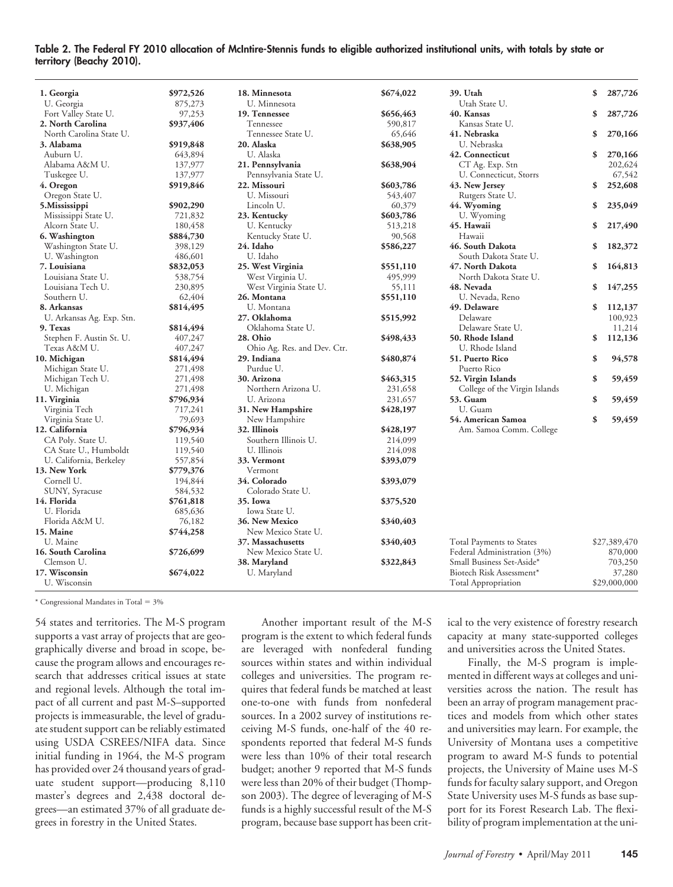#### **Table 2. The Federal FY 2010 allocation of McIntire-Stennis funds to eligible authorized institutional units, with totals by state or territory (Beachy 2010).**

| 1. Georgia                | \$972,526 | 18. Minnesota               | \$674,022 | 39. Utah                      | \$<br>287,726 |
|---------------------------|-----------|-----------------------------|-----------|-------------------------------|---------------|
| U. Georgia                | 875,273   | U. Minnesota                |           | Utah State U.                 |               |
| Fort Valley State U.      | 97,253    | 19. Tennessee               | \$656,463 | 40. Kansas                    | \$<br>287,726 |
| 2. North Carolina         | \$937,406 | Tennessee                   | 590,817   | Kansas State U.               |               |
| North Carolina State U.   |           | Tennessee State U.          | 65,646    | 41. Nebraska                  | \$<br>270,166 |
| 3. Alabama                | \$919,848 | 20. Alaska                  | \$638,905 | U. Nebraska                   |               |
| Auburn U.                 | 643,894   | U. Alaska                   |           | 42. Connecticut               | \$<br>270,166 |
| Alabama A&M U.            | 137,977   | 21. Pennsylvania            | \$638,904 | CT Ag. Exp. Stn               | 202,624       |
| Tuskegee U.               | 137,977   | Pennsylvania State U.       |           | U. Connecticut, Storrs        | 67,542        |
| 4. Oregon                 | \$919,846 | 22. Missouri                | \$603,786 | 43. New Jersey                | \$<br>252,608 |
| Oregon State U.           |           | U. Missouri                 | 543,407   | Rutgers State U.              |               |
| 5.Mississippi             | \$902,290 | Lincoln U.                  | 60,379    | 44. Wyoming                   | \$<br>235,049 |
| Mississippi State U.      | 721,832   | 23. Kentucky                | \$603,786 | U. Wyoming                    |               |
| Alcorn State U.           | 180,458   | U. Kentucky                 | 513,218   | 45. Hawaii                    | \$<br>217,490 |
| 6. Washington             | \$884,730 | Kentucky State U.           | 90,568    | Hawaii                        |               |
| Washington State U.       | 398,129   | 24. Idaho                   | \$586,227 | 46. South Dakota              | \$<br>182,372 |
| U. Washington             | 486,601   | U. Idaho                    |           | South Dakota State U.         |               |
| 7. Louisiana              | \$832,053 | 25. West Virginia           | \$551,110 | 47. North Dakota              | \$<br>164,813 |
| Louisiana State U.        | 538,754   | West Virginia U.            | 495,999   | North Dakota State U.         |               |
| Louisiana Tech U.         | 230,895   | West Virginia State U.      | 55,111    | 48. Nevada                    | \$<br>147,255 |
| Southern U.               | 62,404    | 26. Montana                 | \$551,110 | U. Nevada, Reno               |               |
| 8. Arkansas               | \$814,495 | U. Montana                  |           | 49. Delaware                  | \$<br>112,137 |
| U. Arkansas Ag. Exp. Stn. |           | 27. Oklahoma                | \$515,992 | Delaware                      | 100,923       |
| 9. Texas                  | \$814,494 | Oklahoma State U.           |           | Delaware State U.             | 11,214        |
| Stephen F. Austin St. U.  | 407,247   | 28. Ohio                    | \$498,433 | 50. Rhode Island              | \$<br>112,136 |
| Texas A&M U.              | 407,247   | Ohio Ag. Res. and Dev. Ctr. |           | U. Rhode Island               |               |
| 10. Michigan              | \$814,494 | 29. Indiana                 | \$480,874 | 51. Puerto Rico               | \$<br>94,578  |
| Michigan State U.         | 271,498   | Purdue U.                   |           | Puerto Rico                   |               |
| Michigan Tech U.          | 271,498   | 30. Arizona                 | \$463,315 | 52. Virgin Islands            | \$<br>59,459  |
| U. Michigan               | 271,498   | Northern Arizona U.         | 231,658   | College of the Virgin Islands |               |
| 11. Virginia              | \$796,934 | U. Arizona                  | 231,657   | <b>53. Guam</b>               | \$<br>59,459  |
|                           |           |                             |           | U. Guam                       |               |
| Virginia Tech             | 717,241   | 31. New Hampshire           | \$428,197 |                               |               |
| Virginia State U.         | 79,693    | New Hampshire               |           | 54. American Samoa            | \$<br>59,459  |
| 12. California            | \$796,934 | 32. Illinois                | \$428,197 | Am. Samoa Comm. College       |               |
| CA Poly. State U.         | 119,540   | Southern Illinois U.        | 214,099   |                               |               |
| CA State U., Humboldt     | 119,540   | U. Illinois                 | 214,098   |                               |               |
| U. California, Berkeley   | 557,854   | 33. Vermont                 | \$393,079 |                               |               |
| 13. New York              | \$779,376 | Vermont                     |           |                               |               |
| Cornell U.                | 194,844   | 34. Colorado                | \$393,079 |                               |               |
| SUNY, Syracuse            | 584,532   | Colorado State U.           |           |                               |               |
| 14. Florida               | \$761,818 | 35. Iowa                    | \$375,520 |                               |               |
| U. Florida                | 685,636   | Iowa State U.               |           |                               |               |
| Florida A&M U.            | 76,182    | 36. New Mexico              | \$340,403 |                               |               |
| 15. Maine                 | \$744,258 | New Mexico State U.         |           |                               |               |
| U. Maine                  |           | 37. Massachusetts           | \$340,403 | Total Payments to States      | \$27,389,470  |
| 16. South Carolina        | \$726,699 | New Mexico State U.         |           | Federal Administration (3%)   | 870,000       |
| Clemson U.                |           | 38. Maryland                | \$322,843 | Small Business Set-Aside*     | 703,250       |
| 17. Wisconsin             | \$674,022 | U. Maryland                 |           | Biotech Risk Assessment*      | 37,280        |
| U. Wisconsin              |           |                             |           | <b>Total Appropriation</b>    | \$29,000,000  |

 $*$  Congressional Mandates in Total =  $3\%$ 

54 states and territories. The M-S program supports a vast array of projects that are geographically diverse and broad in scope, because the program allows and encourages research that addresses critical issues at state and regional levels. Although the total impact of all current and past M-S–supported projects is immeasurable, the level of graduate student support can be reliably estimated using USDA CSREES/NIFA data. Since initial funding in 1964, the M-S program has provided over 24 thousand years of graduate student support—producing 8,110 master's degrees and 2,438 doctoral degrees—an estimated 37% of all graduate degrees in forestry in the United States.

Another important result of the M-S program is the extent to which federal funds are leveraged with nonfederal funding sources within states and within individual colleges and universities. The program requires that federal funds be matched at least one-to-one with funds from nonfederal sources. In a 2002 survey of institutions receiving M-S funds, one-half of the 40 respondents reported that federal M-S funds were less than 10% of their total research budget; another 9 reported that M-S funds were less than 20% of their budget (Thompson 2003). The degree of leveraging of M-S funds is a highly successful result of the M-S program, because base support has been crit-

ical to the very existence of forestry research capacity at many state-supported colleges and universities across the United States.

Finally, the M-S program is implemented in different ways at colleges and universities across the nation. The result has been an array of program management practices and models from which other states and universities may learn. For example, the University of Montana uses a competitive program to award M-S funds to potential projects, the University of Maine uses M-S funds for faculty salary support, and Oregon State University uses M-S funds as base support for its Forest Research Lab. The flexibility of program implementation at the uni-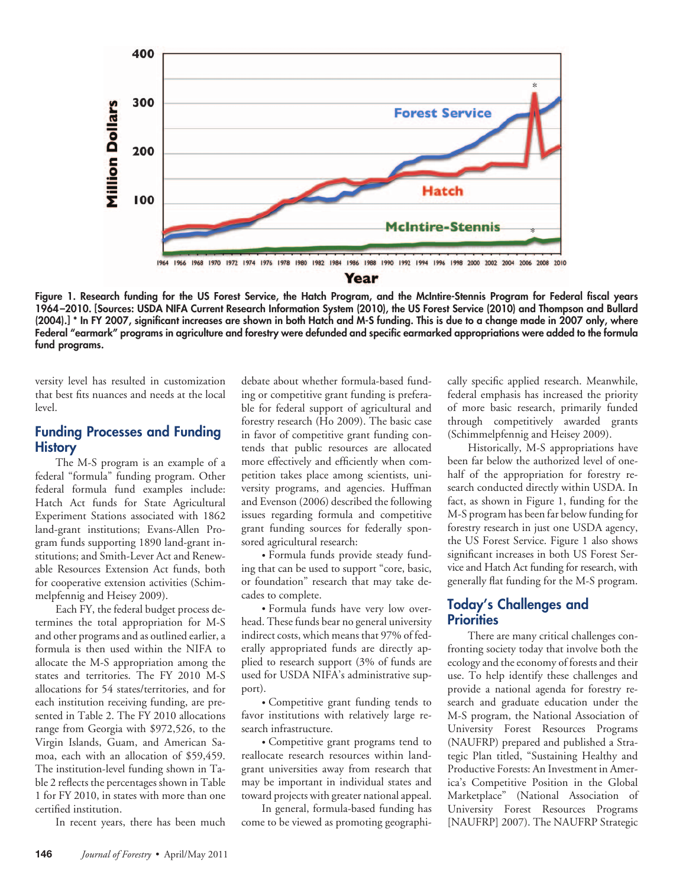

**Figure 1. Research funding for the US Forest Service, the Hatch Program, and the McIntire-Stennis Program for Federal fiscal years 1964 –2010. [Sources: USDA NIFA Current Research Information System (2010), the US Forest Service (2010) and Thompson and Bullard (2004).] \* In FY 2007, significant increases are shown in both Hatch and M-S funding. This is due to a change made in 2007 only, where Federal "earmark" programs in agriculture and forestry were defunded and specific earmarked appropriations were added to the formula fund programs.**

versity level has resulted in customization that best fits nuances and needs at the local level.

## **Funding Processes and Funding History**

The M-S program is an example of a federal "formula" funding program. Other federal formula fund examples include: Hatch Act funds for State Agricultural Experiment Stations associated with 1862 land-grant institutions; Evans-Allen Program funds supporting 1890 land-grant institutions; and Smith-Lever Act and Renewable Resources Extension Act funds, both for cooperative extension activities (Schimmelpfennig and Heisey 2009).

Each FY, the federal budget process determines the total appropriation for M-S and other programs and as outlined earlier, a formula is then used within the NIFA to allocate the M-S appropriation among the states and territories. The FY 2010 M-S allocations for 54 states/territories, and for each institution receiving funding, are presented in Table 2. The FY 2010 allocations range from Georgia with \$972,526, to the Virgin Islands, Guam, and American Samoa, each with an allocation of \$59,459. The institution-level funding shown in Table 2 reflects the percentages shown in Table 1 for FY 2010, in states with more than one certified institution.

In recent years, there has been much

debate about whether formula-based funding or competitive grant funding is preferable for federal support of agricultural and forestry research (Ho 2009). The basic case in favor of competitive grant funding contends that public resources are allocated more effectively and efficiently when competition takes place among scientists, university programs, and agencies. Huffman and Evenson (2006) described the following issues regarding formula and competitive grant funding sources for federally sponsored agricultural research:

• Formula funds provide steady funding that can be used to support "core, basic, or foundation" research that may take decades to complete.

• Formula funds have very low overhead. These funds bear no general university indirect costs, which means that 97% of federally appropriated funds are directly applied to research support (3% of funds are used for USDA NIFA's administrative support).

• Competitive grant funding tends to favor institutions with relatively large research infrastructure.

• Competitive grant programs tend to reallocate research resources within landgrant universities away from research that may be important in individual states and toward projects with greater national appeal.

In general, formula-based funding has come to be viewed as promoting geographically specific applied research. Meanwhile, federal emphasis has increased the priority of more basic research, primarily funded through competitively awarded grants (Schimmelpfennig and Heisey 2009).

Historically, M-S appropriations have been far below the authorized level of onehalf of the appropriation for forestry research conducted directly within USDA. In fact, as shown in Figure 1, funding for the M-S program has been far below funding for forestry research in just one USDA agency, the US Forest Service. Figure 1 also shows significant increases in both US Forest Service and Hatch Act funding for research, with generally flat funding for the M-S program.

## **Today's Challenges and Priorities**

There are many critical challenges confronting society today that involve both the ecology and the economy of forests and their use. To help identify these challenges and provide a national agenda for forestry research and graduate education under the M-S program, the National Association of University Forest Resources Programs (NAUFRP) prepared and published a Strategic Plan titled, "Sustaining Healthy and Productive Forests: An Investment in America's Competitive Position in the Global Marketplace" (National Association of University Forest Resources Programs [NAUFRP] 2007). The NAUFRP Strategic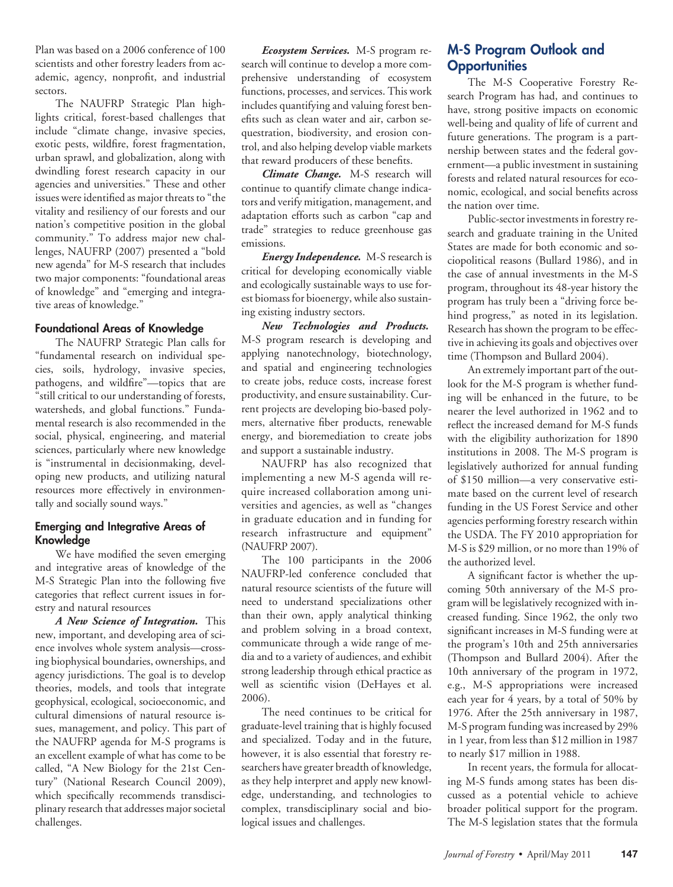Plan was based on a 2006 conference of 100 scientists and other forestry leaders from academic, agency, nonprofit, and industrial sectors.

The NAUFRP Strategic Plan highlights critical, forest-based challenges that include "climate change, invasive species, exotic pests, wildfire, forest fragmentation, urban sprawl, and globalization, along with dwindling forest research capacity in our agencies and universities." These and other issues were identified as major threats to "the vitality and resiliency of our forests and our nation's competitive position in the global community." To address major new challenges, NAUFRP (2007) presented a "bold new agenda" for M-S research that includes two major components: "foundational areas of knowledge" and "emerging and integrative areas of knowledge."

### **Foundational Areas of Knowledge**

The NAUFRP Strategic Plan calls for "fundamental research on individual species, soils, hydrology, invasive species, pathogens, and wildfire"—topics that are "still critical to our understanding of forests, watersheds, and global functions." Fundamental research is also recommended in the social, physical, engineering, and material sciences, particularly where new knowledge is "instrumental in decisionmaking, developing new products, and utilizing natural resources more effectively in environmentally and socially sound ways."

## **Emerging and Integrative Areas of Knowledge**

We have modified the seven emerging and integrative areas of knowledge of the M-S Strategic Plan into the following five categories that reflect current issues in forestry and natural resources

*A New Science of Integration.* This new, important, and developing area of science involves whole system analysis—crossing biophysical boundaries, ownerships, and agency jurisdictions. The goal is to develop theories, models, and tools that integrate geophysical, ecological, socioeconomic, and cultural dimensions of natural resource issues, management, and policy. This part of the NAUFRP agenda for M-S programs is an excellent example of what has come to be called, "A New Biology for the 21st Century" (National Research Council 2009), which specifically recommends transdisciplinary research that addresses major societal challenges.

*Ecosystem Services.* M-S program research will continue to develop a more comprehensive understanding of ecosystem functions, processes, and services. This work includes quantifying and valuing forest benefits such as clean water and air, carbon sequestration, biodiversity, and erosion control, and also helping develop viable markets that reward producers of these benefits.

*Climate Change.* M-S research will continue to quantify climate change indicators and verify mitigation, management, and adaptation efforts such as carbon "cap and trade" strategies to reduce greenhouse gas emissions.

*Energy Independence.* M-S research is critical for developing economically viable and ecologically sustainable ways to use forest biomass for bioenergy, while also sustaining existing industry sectors.

*New Technologies and Products.* M-S program research is developing and applying nanotechnology, biotechnology, and spatial and engineering technologies to create jobs, reduce costs, increase forest productivity, and ensure sustainability. Current projects are developing bio-based polymers, alternative fiber products, renewable energy, and bioremediation to create jobs and support a sustainable industry.

NAUFRP has also recognized that implementing a new M-S agenda will require increased collaboration among universities and agencies, as well as "changes in graduate education and in funding for research infrastructure and equipment" (NAUFRP 2007).

The 100 participants in the 2006 NAUFRP-led conference concluded that natural resource scientists of the future will need to understand specializations other than their own, apply analytical thinking and problem solving in a broad context, communicate through a wide range of media and to a variety of audiences, and exhibit strong leadership through ethical practice as well as scientific vision (DeHayes et al. 2006).

The need continues to be critical for graduate-level training that is highly focused and specialized. Today and in the future, however, it is also essential that forestry researchers have greater breadth of knowledge, as they help interpret and apply new knowledge, understanding, and technologies to complex, transdisciplinary social and biological issues and challenges.

## **M-S Program Outlook and Opportunities**

The M-S Cooperative Forestry Research Program has had, and continues to have, strong positive impacts on economic well-being and quality of life of current and future generations. The program is a partnership between states and the federal government—a public investment in sustaining forests and related natural resources for economic, ecological, and social benefits across the nation over time.

Public-sector investments in forestry research and graduate training in the United States are made for both economic and sociopolitical reasons (Bullard 1986), and in the case of annual investments in the M-S program, throughout its 48-year history the program has truly been a "driving force behind progress," as noted in its legislation. Research has shown the program to be effective in achieving its goals and objectives over time (Thompson and Bullard 2004).

An extremely important part of the outlook for the M-S program is whether funding will be enhanced in the future, to be nearer the level authorized in 1962 and to reflect the increased demand for M-S funds with the eligibility authorization for 1890 institutions in 2008. The M-S program is legislatively authorized for annual funding of \$150 million—a very conservative estimate based on the current level of research funding in the US Forest Service and other agencies performing forestry research within the USDA. The FY 2010 appropriation for M-S is \$29 million, or no more than 19% of the authorized level.

A significant factor is whether the upcoming 50th anniversary of the M-S program will be legislatively recognized with increased funding. Since 1962, the only two significant increases in M-S funding were at the program's 10th and 25th anniversaries (Thompson and Bullard 2004). After the 10th anniversary of the program in 1972, e.g., M-S appropriations were increased each year for 4 years, by a total of 50% by 1976. After the 25th anniversary in 1987, M-S program funding was increased by 29% in 1 year, from less than \$12 million in 1987 to nearly \$17 million in 1988.

In recent years, the formula for allocating M-S funds among states has been discussed as a potential vehicle to achieve broader political support for the program. The M-S legislation states that the formula